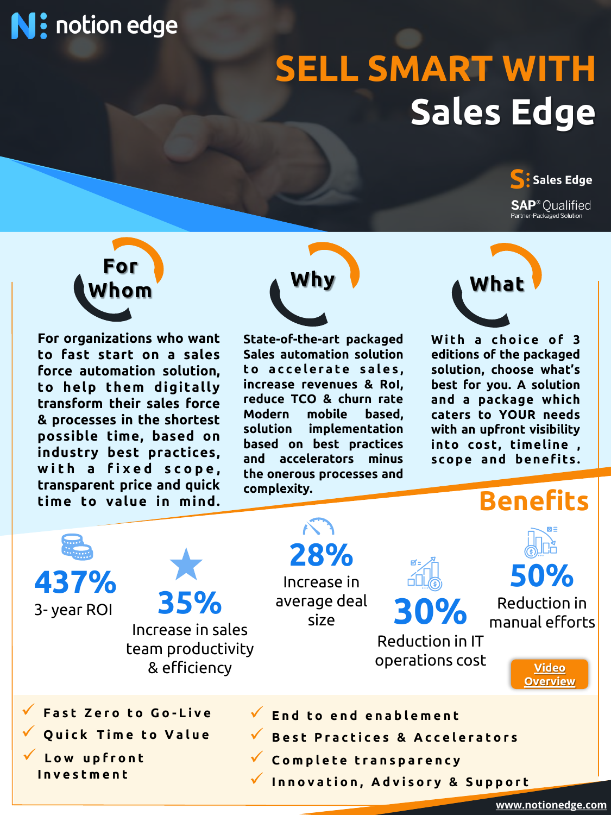# **N:** notion edge

# **SELL SMART WITH Sales Edge**

**Sales Edge SAP**<sup>®</sup> Oualified Partner-Packaged Solution



**For organizations who want to fast start on a sales force automation solution, to help t hem di gitally transform their sales force & processes in the shortest possible time, based on industry best practices, w i t h a f i x e d s c o p e , transparent price and quick time to value in mind.**



**State-of-the-art packaged Sales automation solution t o a c c e l e r a t e s a l e s , increase revenues & RoI, reduce TCO & churn rate Modern mobile based, solution implementation based on best practices and accelerators minus the onerous processes and complexity.**



**With a choice of 3 editions of the packaged solution, choose what's best for you. A solution and a package which caters to YOUR needs with an upfront visibility into cost, timeline , s co p e a nd be ne f its .**

### **Benefits**